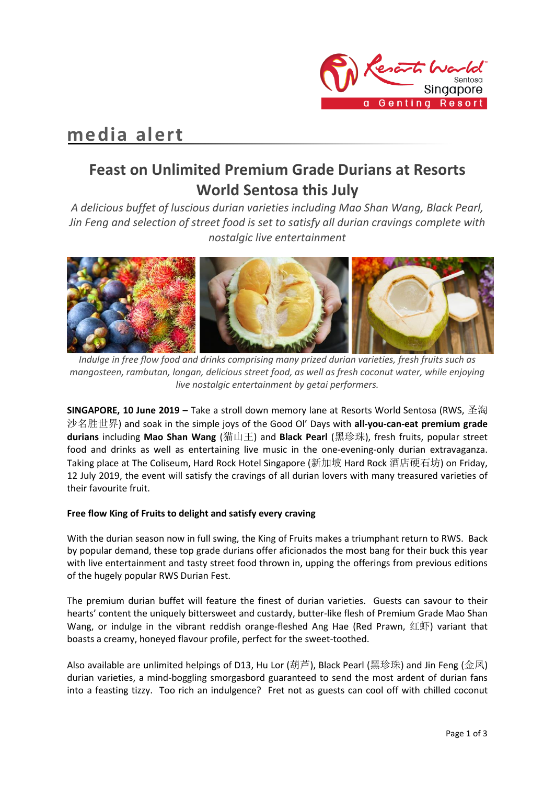

# **media alert**

## **Feast on Unlimited Premium Grade Durians at Resorts World Sentosa this July**

*A delicious buffet of luscious durian varieties including Mao Shan Wang, Black Pearl, Jin Feng and selection of street food is set to satisfy all durian cravings complete with nostalgic live entertainment*



*Indulge in free flow food and drinks comprising many prized durian varieties, fresh fruits such as mangosteen, rambutan, longan, delicious street food, as well as fresh coconut water, while enjoying live nostalgic entertainment by getai performers.*

**SINGAPORE, 10 June 2019 –** Take a stroll down memory lane at Resorts World Sentosa (RWS, 圣淘 沙名胜世界) and soak in the simple joys of the Good Ol' Days with **all-you-can-eat premium grade durians** including **Mao Shan Wang** (猫山王) and **Black Pearl** (黑珍珠), fresh fruits, popular street food and drinks as well as entertaining live music in the one-evening-only durian extravaganza. Taking place at The Coliseum, Hard Rock Hotel Singapore (新加坡 Hard Rock 酒店硬石坊) on Friday, 12 July 2019, the event will satisfy the cravings of all durian lovers with many treasured varieties of their favourite fruit.

### **Free flow King of Fruits to delight and satisfy every craving**

With the durian season now in full swing, the King of Fruits makes a triumphant return to RWS. Back by popular demand, these top grade durians offer aficionados the most bang for their buck this year with live entertainment and tasty street food thrown in, upping the offerings from previous editions of the hugely popular RWS Durian Fest.

The premium durian buffet will feature the finest of durian varieties. Guests can savour to their hearts' content the uniquely bittersweet and custardy, butter-like flesh of Premium Grade Mao Shan Wang, or indulge in the vibrant reddish orange-fleshed Ang Hae (Red Prawn, 红虾) variant that boasts a creamy, honeyed flavour profile, perfect for the sweet-toothed.

Also available are unlimited helpings of D13, Hu Lor (葫芦), Black Pearl (黑珍珠) and Jin Feng (金凤) durian varieties, a mind-boggling smorgasbord guaranteed to send the most ardent of durian fans into a feasting tizzy. Too rich an indulgence? Fret not as guests can cool off with chilled coconut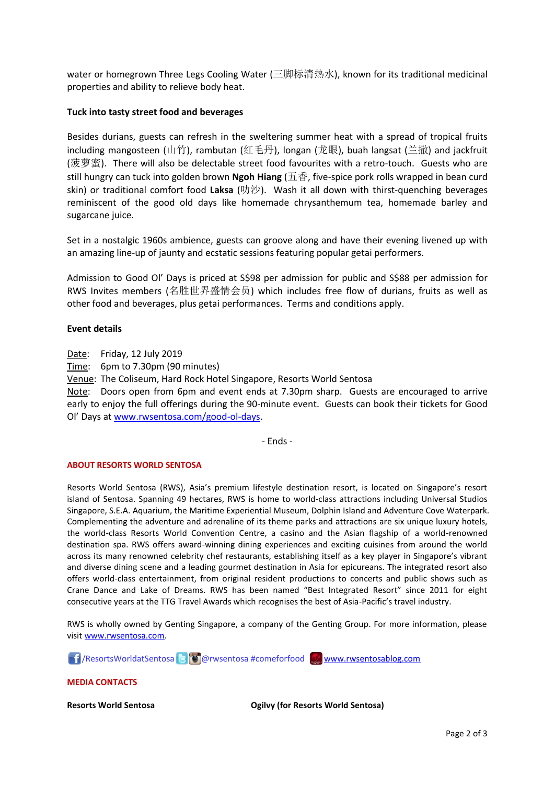water or homegrown Three Legs Cooling Water (三脚标清热水), known for its traditional medicinal properties and ability to relieve body heat.

#### **Tuck into tasty street food and beverages**

Besides durians, guests can refresh in the sweltering summer heat with a spread of tropical fruits including mangosteen (山竹), rambutan (红毛丹), longan (龙眼), buah langsat (兰撒) and jackfruit (菠萝蜜). There will also be delectable street food favourites with a retro-touch. Guests who are still hungry can tuck into golden brown **Ngoh Hiang** (五香, five-spice pork rolls wrapped in bean curd skin) or traditional comfort food **Laksa** (叻沙). Wash it all down with thirst-quenching beverages reminiscent of the good old days like homemade chrysanthemum tea, homemade barley and sugarcane juice.

Set in a nostalgic 1960s ambience, guests can groove along and have their evening livened up with an amazing line-up of jaunty and ecstatic sessions featuring popular getai performers.

Admission to Good Ol' Days is priced at S\$98 per admission for public and S\$88 per admission for RWS Invites members (名胜世界盛情会员) which includes free flow of durians, fruits as well as other food and beverages, plus getai performances. Terms and conditions apply.

#### **Event details**

Date: Friday, 12 July 2019

Time: 6pm to 7.30pm (90 minutes)

Venue: The Coliseum, Hard Rock Hotel Singapore, Resorts World Sentosa

Note: Doors open from 6pm and event ends at 7.30pm sharp. Guests are encouraged to arrive early to enjoy the full offerings during the 90-minute event. Guests can book their tickets for Good Ol' Days at [www.rwsentosa.com/good-ol-days.](http://www.rwsentosa.com/good-ol-days)

- Ends -

#### **ABOUT RESORTS WORLD SENTOSA**

Resorts World Sentosa (RWS), Asia's premium lifestyle destination resort, is located on Singapore's resort island of Sentosa. Spanning 49 hectares, RWS is home to world-class attractions including Universal Studios Singapore, S.E.A. Aquarium, the Maritime Experiential Museum, Dolphin Island and Adventure Cove Waterpark. Complementing the adventure and adrenaline of its theme parks and attractions are six unique luxury hotels, the world-class Resorts World Convention Centre, a casino and the Asian flagship of a world-renowned destination spa. RWS offers award-winning dining experiences and exciting cuisines from around the world across its many renowned celebrity chef restaurants, establishing itself as a key player in Singapore's vibrant and diverse dining scene and a leading gourmet destination in Asia for epicureans. The integrated resort also offers world-class entertainment, from original resident productions to concerts and public shows such as Crane Dance and Lake of Dreams. RWS has been named "Best Integrated Resort" since 2011 for eight consecutive years at the TTG Travel Awards which recognises the best of Asia-Pacific's travel industry.

RWS is wholly owned by Genting Singapore, a company of the Genting Group. For more information, please visi[t www.rwsentosa.com.](http://www.rwsentosa.com/)

17 / ResortsWorldatSentosa **@** @ rwsentosa #comeforfood [www.rwsentosablog.com](http://www.rwsentosablog.com/)

**MEDIA CONTACTS**

**Resorts World Sentosa Ogilvy (for Resorts World Sentosa)**